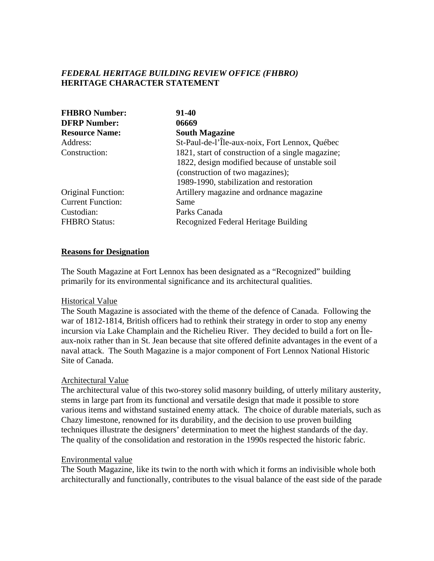# *FEDERAL HERITAGE BUILDING REVIEW OFFICE (FHBRO)* **HERITAGE CHARACTER STATEMENT**

| <b>FHBRO Number:</b>     | $91 - 40$                                         |
|--------------------------|---------------------------------------------------|
| <b>DFRP Number:</b>      | 06669                                             |
| <b>Resource Name:</b>    | <b>South Magazine</b>                             |
| Address:                 | St-Paul-de-l'Île-aux-noix, Fort Lennox, Québec    |
| Construction:            | 1821, start of construction of a single magazine; |
|                          | 1822, design modified because of unstable soil    |
|                          | (construction of two magazines);                  |
|                          | 1989-1990, stabilization and restoration          |
| Original Function:       | Artillery magazine and ordnance magazine          |
| <b>Current Function:</b> | Same                                              |
| Custodian:               | Parks Canada                                      |
| <b>FHBRO Status:</b>     | Recognized Federal Heritage Building              |

### **Reasons for Designation**

The South Magazine at Fort Lennox has been designated as a "Recognized" building primarily for its environmental significance and its architectural qualities.

#### Historical Value

The South Magazine is associated with the theme of the defence of Canada. Following the war of 1812-1814, British officers had to rethink their strategy in order to stop any enemy incursion via Lake Champlain and the Richelieu River. They decided to build a fort on Îleaux-noix rather than in St. Jean because that site offered definite advantages in the event of a naval attack. The South Magazine is a major component of Fort Lennox National Historic Site of Canada.

#### Architectural Value

The architectural value of this two-storey solid masonry building, of utterly military austerity, stems in large part from its functional and versatile design that made it possible to store various items and withstand sustained enemy attack. The choice of durable materials, such as Chazy limestone, renowned for its durability, and the decision to use proven building techniques illustrate the designers' determination to meet the highest standards of the day. The quality of the consolidation and restoration in the 1990s respected the historic fabric.

#### Environmental value

The South Magazine, like its twin to the north with which it forms an indivisible whole both architecturally and functionally, contributes to the visual balance of the east side of the parade